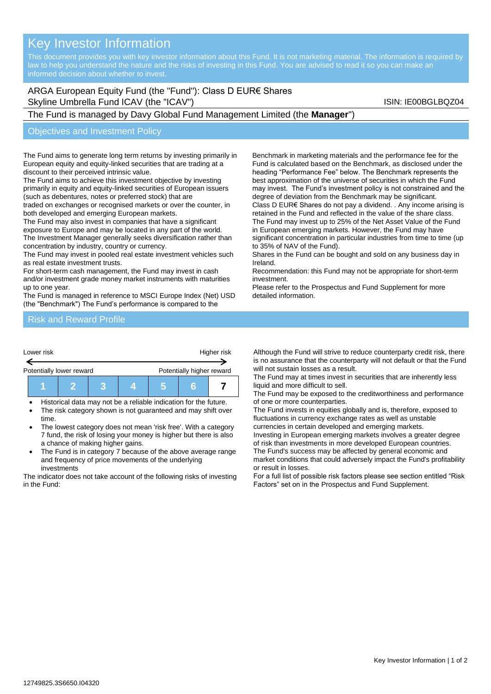# Key Investor Information

# ARGA European Equity Fund (the "Fund"): Class D EUR€ Shares Skyline Umbrella Fund ICAV (the "ICAV") Skyline Umbrella Fund ICAV (the "ICAV")

## The Fund is managed by Davy Global Fund Management Limited (the **Manager**")

#### Objectives and Investment Policy

The Fund aims to generate long term returns by investing primarily in European equity and equity-linked securities that are trading at a discount to their perceived intrinsic value.

The Fund aims to achieve this investment objective by investing primarily in equity and equity-linked securities of European issuers (such as debentures, notes or preferred stock) that are

traded on exchanges or recognised markets or over the counter, in both developed and emerging European markets.

The Fund may also invest in companies that have a significant exposure to Europe and may be located in any part of the world. The Investment Manager generally seeks diversification rather than concentration by industry, country or currency.

The Fund may invest in pooled real estate investment vehicles such as real estate investment trusts.

For short-term cash management, the Fund may invest in cash

and/or investment grade money market instruments with maturities up to one year.

The Fund is managed in reference to MSCI Europe Index (Net) USD (the "Benchmark") The Fund's performance is compared to the

Benchmark in marketing materials and the performance fee for the Fund is calculated based on the Benchmark, as disclosed under the heading "Performance Fee" below. The Benchmark represents the best approximation of the universe of securities in which the Fund may invest. The Fund's investment policy is not constrained and the degree of deviation from the Benchmark may be significant.

Class D EUR€ Shares do not pay a dividend. . Any income arising is retained in the Fund and reflected in the value of the share class. The Fund may invest up to 25% of the Net Asset Value of the Fund in European emerging markets. However, the Fund may have significant concentration in particular industries from time to time (up to 35% of NAV of the Fund).

Shares in the Fund can be bought and sold on any business day in Ireland.

Recommendation: this Fund may not be appropriate for short-term investment.

Please refer to the Prospectus and Fund Supplement for more detailed information.

#### Risk and Reward Profile



|--|

- Historical data may not be a reliable indication for the future.
- The risk category shown is not guaranteed and may shift over time.
- The lowest category does not mean 'risk free'. With a category 7 fund, the risk of losing your money is higher but there is also a chance of making higher gains.
- The Fund is in category 7 because of the above average range and frequency of price movements of the underlying investments

The indicator does not take account of the following risks of investing in the Fund:

Although the Fund will strive to reduce counterparty credit risk, there is no assurance that the counterparty will not default or that the Fund will not sustain losses as a result.

The Fund may at times invest in securities that are inherently less liquid and more difficult to sell.

The Fund may be exposed to the creditworthiness and performance of one or more counterparties.

The Fund invests in equities globally and is, therefore, exposed to fluctuations in currency exchange rates as well as unstable currencies in certain developed and emerging markets.

Investing in European emerging markets involves a greater degree of risk than investments in more developed European countries. The Fund's success may be affected by general economic and

market conditions that could adversely impact the Fund's profitability or result in losses.

For a full list of possible risk factors please see section entitled "Risk Factors" set on in the Prospectus and Fund Supplement.